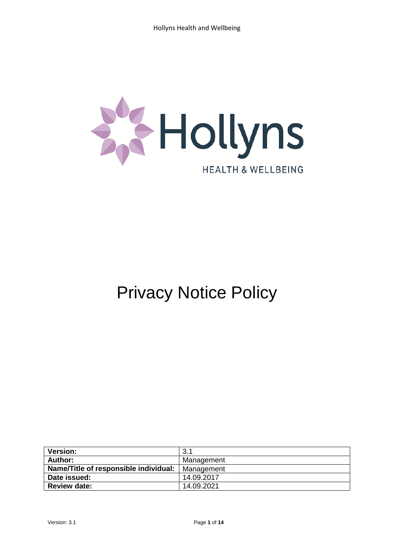

# Privacy Notice Policy

| <b>Version:</b>                       | 3.1        |
|---------------------------------------|------------|
| <b>Author:</b>                        | Management |
| Name/Title of responsible individual: | Management |
| Date issued:                          | 14.09.2017 |
| <b>Review date:</b>                   | 14.09.2021 |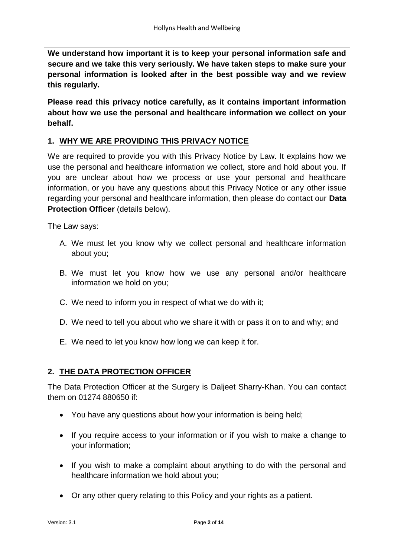**We understand how important it is to keep your personal information safe and secure and we take this very seriously. We have taken steps to make sure your personal information is looked after in the best possible way and we review this regularly.**

**Please read this privacy notice carefully, as it contains important information about how we use the personal and healthcare information we collect on your behalf.**

## **1. WHY WE ARE PROVIDING THIS PRIVACY NOTICE**

We are required to provide you with this Privacy Notice by Law. It explains how we use the personal and healthcare information we collect, store and hold about you. If you are unclear about how we process or use your personal and healthcare information, or you have any questions about this Privacy Notice or any other issue regarding your personal and healthcare information, then please do contact our **Data Protection Officer** (details below).

The Law says:

- A. We must let you know why we collect personal and healthcare information about you;
- B. We must let you know how we use any personal and/or healthcare information we hold on you;
- C. We need to inform you in respect of what we do with it;
- D. We need to tell you about who we share it with or pass it on to and why; and
- E. We need to let you know how long we can keep it for.

## **2. THE DATA PROTECTION OFFICER**

The Data Protection Officer at the Surgery is Daljeet Sharry-Khan. You can contact them on 01274 880650 if:

- You have any questions about how your information is being held;
- If you require access to your information or if you wish to make a change to your information;
- If you wish to make a complaint about anything to do with the personal and healthcare information we hold about you;
- Or any other query relating to this Policy and your rights as a patient.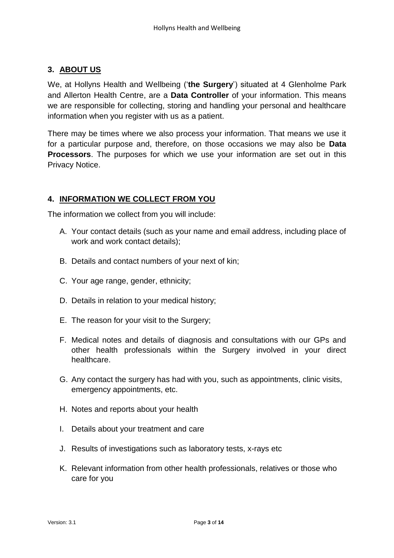## **3. ABOUT US**

We, at Hollyns Health and Wellbeing ('**the Surgery**') situated at 4 Glenholme Park and Allerton Health Centre, are a **Data Controller** of your information. This means we are responsible for collecting, storing and handling your personal and healthcare information when you register with us as a patient.

There may be times where we also process your information. That means we use it for a particular purpose and, therefore, on those occasions we may also be **Data Processors**. The purposes for which we use your information are set out in this Privacy Notice.

## **4. INFORMATION WE COLLECT FROM YOU**

The information we collect from you will include:

- A. Your contact details (such as your name and email address, including place of work and work contact details);
- B. Details and contact numbers of your next of kin;
- C. Your age range, gender, ethnicity;
- D. Details in relation to your medical history;
- E. The reason for your visit to the Surgery;
- F. Medical notes and details of diagnosis and consultations with our GPs and other health professionals within the Surgery involved in your direct healthcare.
- G. Any contact the surgery has had with you, such as appointments, clinic visits, emergency appointments, etc.
- H. Notes and reports about your health
- I. Details about your treatment and care
- J. Results of investigations such as laboratory tests, x-rays etc
- K. Relevant information from other health professionals, relatives or those who care for you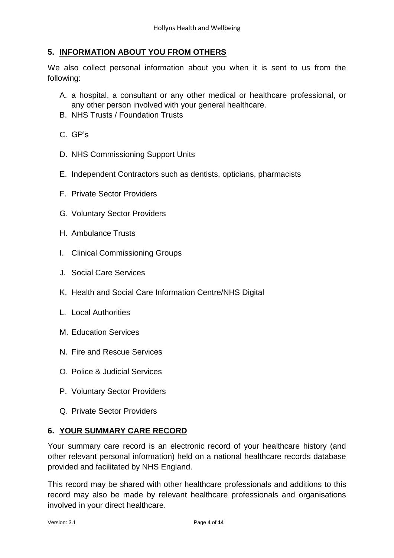## **5. INFORMATION ABOUT YOU FROM OTHERS**

We also collect personal information about you when it is sent to us from the following:

- A. a hospital, a consultant or any other medical or healthcare professional, or any other person involved with your general healthcare.
- B. NHS Trusts / Foundation Trusts
- C. GP's
- D. NHS Commissioning Support Units
- E. Independent Contractors such as dentists, opticians, pharmacists
- F. Private Sector Providers
- G. Voluntary Sector Providers
- H. Ambulance Trusts
- I. Clinical Commissioning Groups
- J. Social Care Services
- K. Health and Social Care Information Centre/NHS Digital
- L. Local Authorities
- M. Education Services
- N. Fire and Rescue Services
- O. Police & Judicial Services
- P. Voluntary Sector Providers
- Q. Private Sector Providers

#### **6. YOUR SUMMARY CARE RECORD**

Your summary care record is an electronic record of your healthcare history (and other relevant personal information) held on a national healthcare records database provided and facilitated by NHS England.

This record may be shared with other healthcare professionals and additions to this record may also be made by relevant healthcare professionals and organisations involved in your direct healthcare.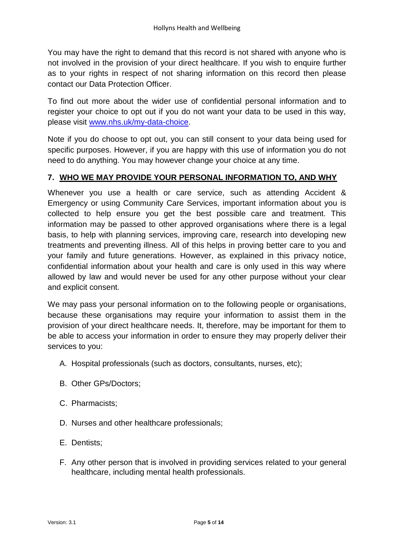You may have the right to demand that this record is not shared with anyone who is not involved in the provision of your direct healthcare. If you wish to enquire further as to your rights in respect of not sharing information on this record then please contact our Data Protection Officer.

To find out more about the wider use of confidential personal information and to register your choice to opt out if you do not want your data to be used in this way, please visit [www.nhs.uk/my-data-choice.](http://www.nhs.uk/my-data-choice)

Note if you do choose to opt out, you can still consent to your data being used for specific purposes. However, if you are happy with this use of information you do not need to do anything. You may however change your choice at any time.

# **7. WHO WE MAY PROVIDE YOUR PERSONAL INFORMATION TO, AND WHY**

Whenever you use a health or care service, such as attending Accident & Emergency or using Community Care Services, important information about you is collected to help ensure you get the best possible care and treatment. This information may be passed to other approved organisations where there is a legal basis, to help with planning services, improving care, research into developing new treatments and preventing illness. All of this helps in proving better care to you and your family and future generations. However, as explained in this privacy notice, confidential information about your health and care is only used in this way where allowed by law and would never be used for any other purpose without your clear and explicit consent.

We may pass your personal information on to the following people or organisations, because these organisations may require your information to assist them in the provision of your direct healthcare needs. It, therefore, may be important for them to be able to access your information in order to ensure they may properly deliver their services to you:

- A. Hospital professionals (such as doctors, consultants, nurses, etc);
- B. Other GPs/Doctors;
- C. Pharmacists;
- D. Nurses and other healthcare professionals;
- E. Dentists;
- F. Any other person that is involved in providing services related to your general healthcare, including mental health professionals.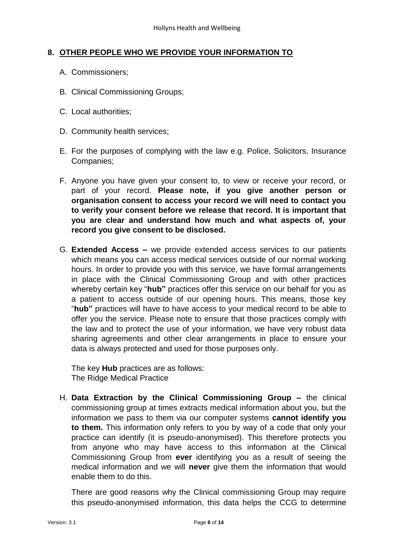#### **8. OTHER PEOPLE WHO WE PROVIDE YOUR INFORMATION TO**

- A. Commissioners;
- B. Clinical Commissioning Groups;
- C. Local authorities;
- D. Community health services;
- E. For the purposes of complying with the law e.g. Police, Solicitors, Insurance Companies;
- F. Anyone you have given your consent to, to view or receive your record, or part of your record. **Please note, if you give another person or organisation consent to access your record we will need to contact you to verify your consent before we release that record. It is important that you are clear and understand how much and what aspects of, your record you give consent to be disclosed.**
- G. **Extended Access –** we provide extended access services to our patients which means you can access medical services outside of our normal working hours. In order to provide you with this service, we have formal arrangements in place with the Clinical Commissioning Group and with other practices whereby certain key "**hub"** practices offer this service on our behalf for you as a patient to access outside of our opening hours. This means, those key "**hub"** practices will have to have access to your medical record to be able to offer you the service. Please note to ensure that those practices comply with the law and to protect the use of your information, we have very robust data sharing agreements and other clear arrangements in place to ensure your data is always protected and used for those purposes only.

The key **Hub** practices are as follows: The Ridge Medical Practice

H. **Data Extraction by the Clinical Commissioning Group –** the clinical commissioning group at times extracts medical information about you, but the information we pass to them via our computer systems **cannot identify you to them.** This information only refers to you by way of a code that only your practice can identify (it is pseudo-anonymised). This therefore protects you from anyone who may have access to this information at the Clinical Commissioning Group from **ever** identifying you as a result of seeing the medical information and we will **never** give them the information that would enable them to do this.

There are good reasons why the Clinical commissioning Group may require this pseudo-anonymised information, this data helps the CCG to determine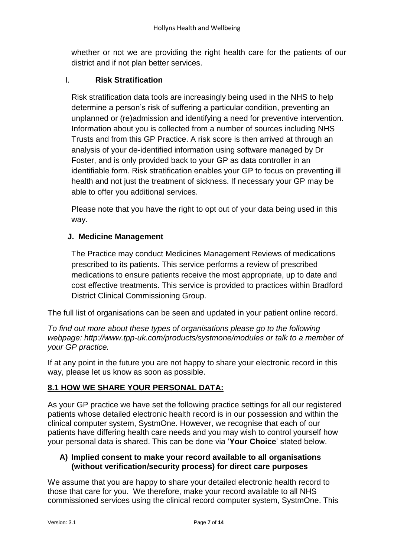whether or not we are providing the right health care for the patients of our district and if not plan better services.

# I. **Risk Stratification**

Risk stratification data tools are increasingly being used in the NHS to help determine a person's risk of suffering a particular condition, preventing an unplanned or (re)admission and identifying a need for preventive intervention. Information about you is collected from a number of sources including NHS Trusts and from this GP Practice. A risk score is then arrived at through an analysis of your de-identified information using software managed by Dr Foster, and is only provided back to your GP as data controller in an identifiable form. Risk stratification enables your GP to focus on preventing ill health and not just the treatment of sickness. If necessary your GP may be able to offer you additional services.

Please note that you have the right to opt out of your data being used in this way.

# **J. Medicine Management**

The Practice may conduct Medicines Management Reviews of medications prescribed to its patients. This service performs a review of prescribed medications to ensure patients receive the most appropriate, up to date and cost effective treatments. This service is provided to practices within Bradford District Clinical Commissioning Group.

The full list of organisations can be seen and updated in your patient online record.

*To find out more about these types of organisations please go to the following webpage: http://www.tpp-uk.com/products/systmone/modules or talk to a member of your GP practice.*

If at any point in the future you are not happy to share your electronic record in this way, please let us know as soon as possible.

# **8.1 HOW WE SHARE YOUR PERSONAL DATA:**

As your GP practice we have set the following practice settings for all our registered patients whose detailed electronic health record is in our possession and within the clinical computer system, SystmOne. However, we recognise that each of our patients have differing health care needs and you may wish to control yourself how your personal data is shared. This can be done via '**Your Choice**' stated below.

#### **A) Implied consent to make your record available to all organisations (without verification/security process) for direct care purposes**

We assume that you are happy to share your detailed electronic health record to those that care for you. We therefore, make your record available to all NHS commissioned services using the clinical record computer system, SystmOne. This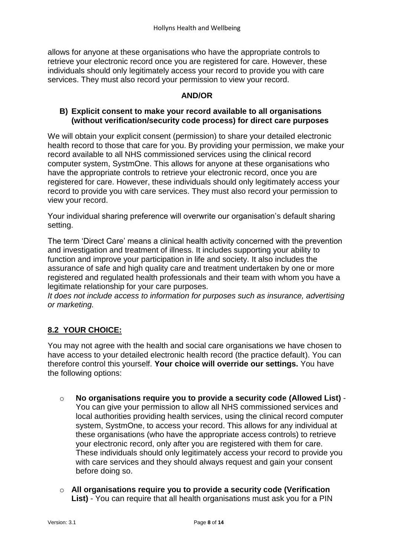allows for anyone at these organisations who have the appropriate controls to retrieve your electronic record once you are registered for care. However, these individuals should only legitimately access your record to provide you with care services. They must also record your permission to view your record.

#### **AND/OR**

#### **B) Explicit consent to make your record available to all organisations (without verification/security code process) for direct care purposes**

We will obtain your explicit consent (permission) to share your detailed electronic health record to those that care for you. By providing your permission, we make your record available to all NHS commissioned services using the clinical record computer system, SystmOne. This allows for anyone at these organisations who have the appropriate controls to retrieve your electronic record, once you are registered for care. However, these individuals should only legitimately access your record to provide you with care services. They must also record your permission to view your record.

Your individual sharing preference will overwrite our organisation's default sharing setting.

The term 'Direct Care' means a clinical health activity concerned with the prevention and investigation and treatment of illness. It includes supporting your ability to function and improve your participation in life and society. It also includes the assurance of safe and high quality care and treatment undertaken by one or more registered and regulated health professionals and their team with whom you have a legitimate relationship for your care purposes.

*It does not include access to information for purposes such as insurance, advertising or marketing.*

## **8.2 YOUR CHOICE:**

You may not agree with the health and social care organisations we have chosen to have access to your detailed electronic health record (the practice default). You can therefore control this yourself. **Your choice will override our settings.** You have the following options:

- o **No organisations require you to provide a security code (Allowed List)** You can give your permission to allow all NHS commissioned services and local authorities providing health services, using the clinical record computer system, SystmOne, to access your record. This allows for any individual at these organisations (who have the appropriate access controls) to retrieve your electronic record, only after you are registered with them for care. These individuals should only legitimately access your record to provide you with care services and they should always request and gain your consent before doing so.
- o **All organisations require you to provide a security code (Verification List)** - You can require that all health organisations must ask you for a PIN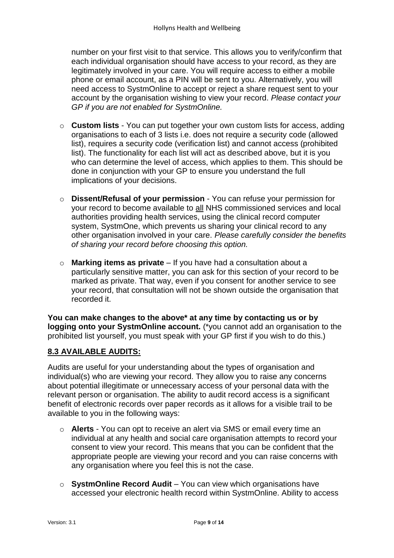number on your first visit to that service. This allows you to verify/confirm that each individual organisation should have access to your record, as they are legitimately involved in your care. You will require access to either a mobile phone or email account, as a PIN will be sent to you. Alternatively, you will need access to SystmOnline to accept or reject a share request sent to your account by the organisation wishing to view your record. *Please contact your GP if you are not enabled for SystmOnline.*

- o **Custom lists** You can put together your own custom lists for access, adding organisations to each of 3 lists i.e. does not require a security code (allowed list), requires a security code (verification list) and cannot access (prohibited list). The functionality for each list will act as described above, but it is you who can determine the level of access, which applies to them. This should be done in conjunction with your GP to ensure you understand the full implications of your decisions.
- o **Dissent/Refusal of your permission** You can refuse your permission for your record to become available to all NHS commissioned services and local authorities providing health services, using the clinical record computer system, SystmOne, which prevents us sharing your clinical record to any other organisation involved in your care. *Please carefully consider the benefits of sharing your record before choosing this option.*
- o **Marking items as private** If you have had a consultation about a particularly sensitive matter, you can ask for this section of your record to be marked as private. That way, even if you consent for another service to see your record, that consultation will not be shown outside the organisation that recorded it.

**You can make changes to the above\* at any time by contacting us or by logging onto your SystmOnline account.** (\*you cannot add an organisation to the prohibited list yourself, you must speak with your GP first if you wish to do this.)

# **8.3 AVAILABLE AUDITS:**

Audits are useful for your understanding about the types of organisation and individual(s) who are viewing your record. They allow you to raise any concerns about potential illegitimate or unnecessary access of your personal data with the relevant person or organisation. The ability to audit record access is a significant benefit of electronic records over paper records as it allows for a visible trail to be available to you in the following ways:

- o **Alerts** You can opt to receive an alert via SMS or email every time an individual at any health and social care organisation attempts to record your consent to view your record. This means that you can be confident that the appropriate people are viewing your record and you can raise concerns with any organisation where you feel this is not the case.
- o **SystmOnline Record Audit** You can view which organisations have accessed your electronic health record within SystmOnline. Ability to access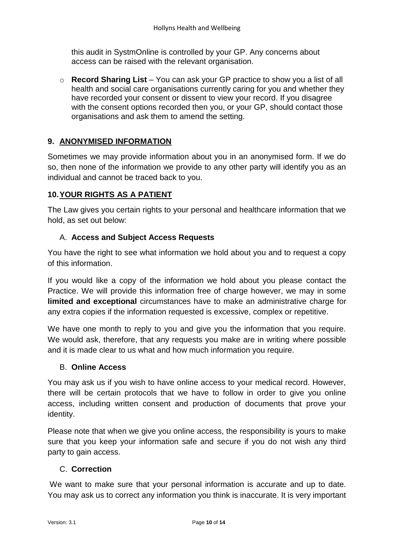this audit in SystmOnline is controlled by your GP. Any concerns about access can be raised with the relevant organisation.

o **Record Sharing List** – You can ask your GP practice to show you a list of all health and social care organisations currently caring for you and whether they have recorded your consent or dissent to view your record. If you disagree with the consent options recorded then you, or your GP, should contact those organisations and ask them to amend the setting.

# **9. ANONYMISED INFORMATION**

Sometimes we may provide information about you in an anonymised form. If we do so, then none of the information we provide to any other party will identify you as an individual and cannot be traced back to you.

# **10.YOUR RIGHTS AS A PATIENT**

The Law gives you certain rights to your personal and healthcare information that we hold, as set out below:

# A. **Access and Subject Access Requests**

You have the right to see what information we hold about you and to request a copy of this information.

If you would like a copy of the information we hold about you please contact the Practice. We will provide this information free of charge however, we may in some **limited and exceptional** circumstances have to make an administrative charge for any extra copies if the information requested is excessive, complex or repetitive.

We have one month to reply to you and give you the information that you require. We would ask, therefore, that any requests you make are in writing where possible and it is made clear to us what and how much information you require.

## B. **Online Access**

You may ask us if you wish to have online access to your medical record. However, there will be certain protocols that we have to follow in order to give you online access, including written consent and production of documents that prove your identity.

Please note that when we give you online access, the responsibility is yours to make sure that you keep your information safe and secure if you do not wish any third party to gain access.

## C. **Correction**

We want to make sure that your personal information is accurate and up to date. You may ask us to correct any information you think is inaccurate. It is very important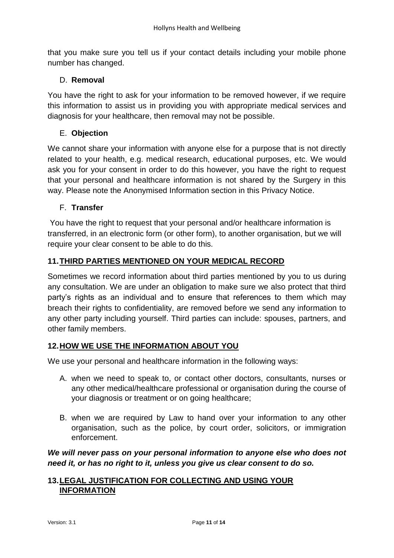that you make sure you tell us if your contact details including your mobile phone number has changed.

# D. **Removal**

You have the right to ask for your information to be removed however, if we require this information to assist us in providing you with appropriate medical services and diagnosis for your healthcare, then removal may not be possible.

# E. **Objection**

We cannot share your information with anyone else for a purpose that is not directly related to your health, e.g. medical research, educational purposes, etc. We would ask you for your consent in order to do this however, you have the right to request that your personal and healthcare information is not shared by the Surgery in this way. Please note the Anonymised Information section in this Privacy Notice.

## F. **Transfer**

You have the right to request that your personal and/or healthcare information is transferred, in an electronic form (or other form), to another organisation, but we will require your clear consent to be able to do this.

# **11.THIRD PARTIES MENTIONED ON YOUR MEDICAL RECORD**

Sometimes we record information about third parties mentioned by you to us during any consultation. We are under an obligation to make sure we also protect that third party's rights as an individual and to ensure that references to them which may breach their rights to confidentiality, are removed before we send any information to any other party including yourself. Third parties can include: spouses, partners, and other family members.

## **12.HOW WE USE THE INFORMATION ABOUT YOU**

We use your personal and healthcare information in the following ways:

- A. when we need to speak to, or contact other doctors, consultants, nurses or any other medical/healthcare professional or organisation during the course of your diagnosis or treatment or on going healthcare;
- B. when we are required by Law to hand over your information to any other organisation, such as the police, by court order, solicitors, or immigration enforcement.

*We will never pass on your personal information to anyone else who does not need it, or has no right to it, unless you give us clear consent to do so.* 

## **13.LEGAL JUSTIFICATION FOR COLLECTING AND USING YOUR INFORMATION**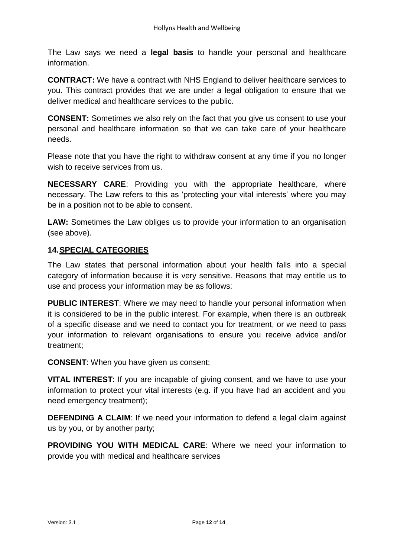The Law says we need a **legal basis** to handle your personal and healthcare information.

**CONTRACT:** We have a contract with NHS England to deliver healthcare services to you. This contract provides that we are under a legal obligation to ensure that we deliver medical and healthcare services to the public.

**CONSENT:** Sometimes we also rely on the fact that you give us consent to use your personal and healthcare information so that we can take care of your healthcare needs.

Please note that you have the right to withdraw consent at any time if you no longer wish to receive services from us.

**NECESSARY CARE**: Providing you with the appropriate healthcare, where necessary. The Law refers to this as 'protecting your vital interests' where you may be in a position not to be able to consent.

**LAW:** Sometimes the Law obliges us to provide your information to an organisation (see above).

## **14.SPECIAL CATEGORIES**

The Law states that personal information about your health falls into a special category of information because it is very sensitive. Reasons that may entitle us to use and process your information may be as follows:

**PUBLIC INTEREST**: Where we may need to handle your personal information when it is considered to be in the public interest. For example, when there is an outbreak of a specific disease and we need to contact you for treatment, or we need to pass your information to relevant organisations to ensure you receive advice and/or treatment;

**CONSENT**: When you have given us consent;

**VITAL INTEREST**: If you are incapable of giving consent, and we have to use your information to protect your vital interests (e.g. if you have had an accident and you need emergency treatment);

**DEFENDING A CLAIM:** If we need your information to defend a legal claim against us by you, or by another party;

**PROVIDING YOU WITH MEDICAL CARE**: Where we need your information to provide you with medical and healthcare services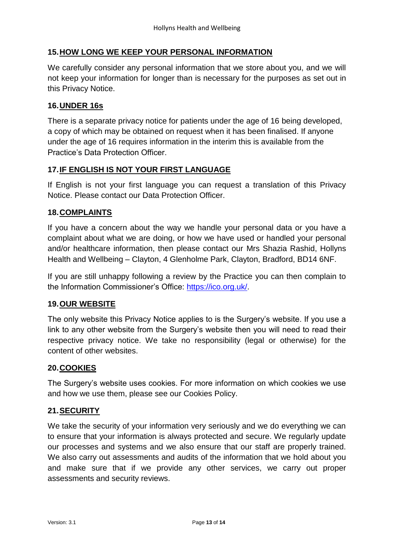## **15.HOW LONG WE KEEP YOUR PERSONAL INFORMATION**

We carefully consider any personal information that we store about you, and we will not keep your information for longer than is necessary for the purposes as set out in this Privacy Notice.

#### **16.UNDER 16s**

There is a separate privacy notice for patients under the age of 16 being developed, a copy of which may be obtained on request when it has been finalised. If anyone under the age of 16 requires information in the interim this is available from the Practice's Data Protection Officer.

#### **17.IF ENGLISH IS NOT YOUR FIRST LANGUAGE**

If English is not your first language you can request a translation of this Privacy Notice. Please contact our Data Protection Officer.

#### **18.COMPLAINTS**

If you have a concern about the way we handle your personal data or you have a complaint about what we are doing, or how we have used or handled your personal and/or healthcare information, then please contact our Mrs Shazia Rashid, Hollyns Health and Wellbeing – Clayton, 4 Glenholme Park, Clayton, Bradford, BD14 6NF.

If you are still unhappy following a review by the Practice you can then complain to the Information Commissioner's Office: [https://ico.org.uk/.](https://ico.org.uk/)

## **19.OUR WEBSITE**

The only website this Privacy Notice applies to is the Surgery's website. If you use a link to any other website from the Surgery's website then you will need to read their respective privacy notice. We take no responsibility (legal or otherwise) for the content of other websites.

#### **20.COOKIES**

The Surgery's website uses cookies. For more information on which cookies we use and how we use them, please see our Cookies Policy.

## **21.SECURITY**

We take the security of your information very seriously and we do everything we can to ensure that your information is always protected and secure. We regularly update our processes and systems and we also ensure that our staff are properly trained. We also carry out assessments and audits of the information that we hold about you and make sure that if we provide any other services, we carry out proper assessments and security reviews.